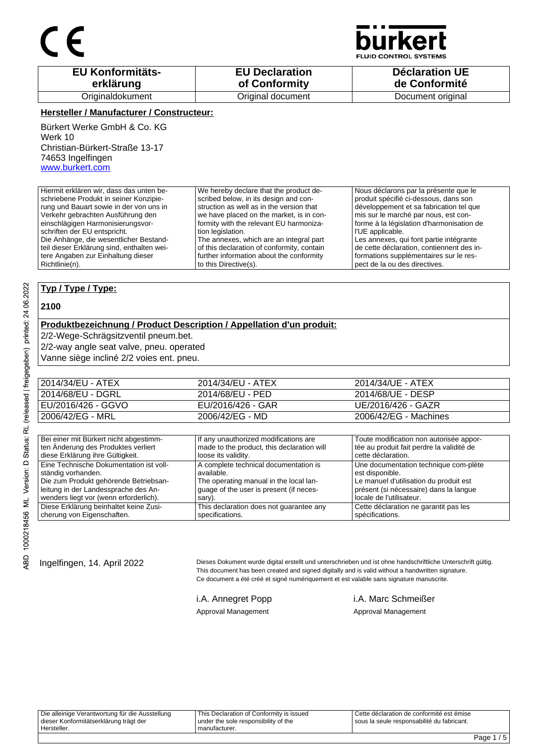

**JID CONTROL SYSTEMS** 

| <b>EU Konformitäts-</b> | <b>EU Declaration</b> | <b>Déclaration UE</b> |
|-------------------------|-----------------------|-----------------------|
| erklärung               | of Conformity         | de Conformité         |
| Originaldokument        | Original document     | Document original     |

#### **Hersteller / Manufacturer / Constructeur:**

Bürkert Werke GmbH & Co. KG Werk 10 Christian-Bürkert-Straße 13-17 74653 Ingelfingen www.burkert.com

Hiermit erklären wir, dass das unten beschriebene Produkt in seiner Konzipierung und Bauart sowie in der von uns in Verkehr gebrachten Ausführung den einschlägigen Harmonisierungsvorschriften der EU entspricht. Die Anhänge, die wesentlicher Bestandteil dieser Erklärung sind, enthalten weitere Angaben zur Einhaltung dieser Richtlinie(n). We hereby declare that the product described below, in its design and construction as well as in the version that we have placed on the market, is in conformity with the relevant EU harmonization legislation. The annexes, which are an integral part of this declaration of conformity, contain further information about the conformity to this Directive(s). Nous déclarons par la présente que le produit spécifié ci-dessous, dans son développement et sa fabrication tel que mis sur le marché par nous, est conforme à la législation d'harmonisation de l'UE applicable. Les annexes, qui font partie intégrante de cette déclaration, contiennent des informations supplémentaires sur le respect de la ou des directives.

### **Typ / Type / Type:**

#### **2100**

#### **Produktbezeichnung / Product Description / Appellation d'un produit:**

2/2-Wege-Schrägsitzventil pneum.bet.

2/2-way angle seat valve, pneu. operated

Vanne siège incliné 2/2 voies ent. pneu.

| 2014/34/EU - ATEX  | 2014/34/EU - ATEX | 2014/34/UE - ATEX     |
|--------------------|-------------------|-----------------------|
| 2014/68/EU - DGRL  | 2014/68/EU - PED  | 2014/68/UE - DESP     |
| EU/2016/426 - GGVO | EU/2016/426 - GAR | UE/2016/426 - GAZR    |
| 2006/42/EG - MRL   | 2006/42/EG - MD   | 2006/42/EG - Machines |

| Bei einer mit Bürkert nicht abgestimm-  | If any unauthorized modifications are      | Toute modification non autorisée appor-   |
|-----------------------------------------|--------------------------------------------|-------------------------------------------|
| ten Änderung des Produktes verliert     | made to the product, this declaration will | tée au produit fait perdre la validité de |
| diese Erklärung ihre Gültigkeit.        | loose its validity.                        | cette déclaration.                        |
| Eine Technische Dokumentation ist voll- | A complete technical documentation is      | Une documentation technique com-plète     |
| ständig vorhanden.                      | available.                                 | est disponible.                           |
| Die zum Produkt gehörende Betriebsan-   | The operating manual in the local lan-     | Le manuel d'utilisation du produit est    |
| leitung in der Landessprache des An-    | quage of the user is present (if neces-    | présent (si nécessaire) dans la langue    |
| wenders liegt vor (wenn erforderlich).  | sary).                                     | locale de l'utilisateur.                  |
| Diese Erklärung beinhaltet keine Zusi-  | This declaration does not quarantee any    | Cette déclaration ne garantit pas les     |
| cherung von Eigenschaften.              | specifications.                            | spécifications.                           |

Ingelfingen, 14. April 2022 Dieses Dokument wurde digital erstellt und unterschrieben und ist ohne handschriftliche Unterschrift gültig. This document has been created and signed digitally and is valid without a handwritten signature. Ce document a été créé et signé numériquement et est valable sans signature manuscrite.

i.A. Annegret Popp i.A. Marc Schmeißer Approval Management Approval Management

Die alleinige Verantwortung für die Ausstellung dieser Konformitätserklärung trägt der Hersteller. This Declaration of Conformity is issued under the sole responsibility of the manufacturer. Cette déclaration de conformité est émise sous la seule responsabilité du fabricant.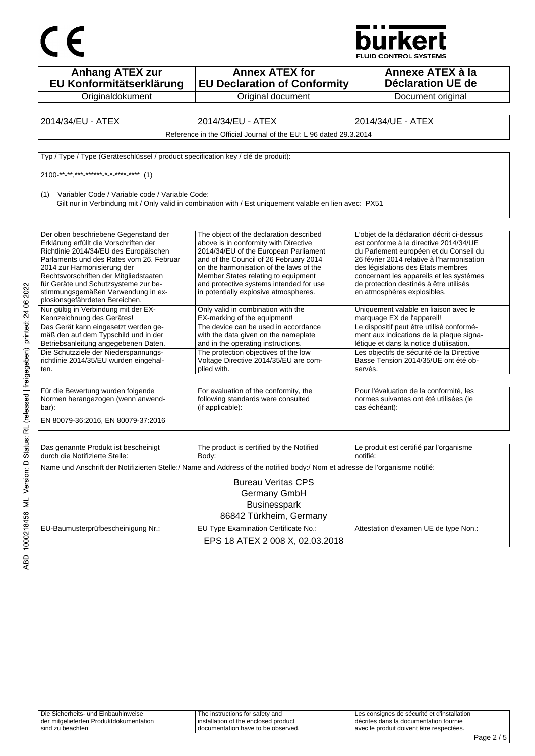



| <b>Anhang ATEX zur</b><br>EU Konformitätserklärung                                | <b>Annex ATEX for</b><br><b>EU Declaration of Conformity</b>                                                                 | Annexe ATEX à la<br><b>Déclaration UE de</b>                                                       |
|-----------------------------------------------------------------------------------|------------------------------------------------------------------------------------------------------------------------------|----------------------------------------------------------------------------------------------------|
| Originaldokument                                                                  | Original document                                                                                                            | Document original                                                                                  |
|                                                                                   |                                                                                                                              |                                                                                                    |
| 2014/34/EU - ATEX                                                                 | 2014/34/EU - ATEX                                                                                                            | 2014/34/UE - ATEX                                                                                  |
|                                                                                   | Reference in the Official Journal of the EU: L 96 dated 29.3.2014                                                            |                                                                                                    |
| Typ / Type / Type (Geräteschlüssel / product specification key / clé de produit): |                                                                                                                              |                                                                                                    |
|                                                                                   |                                                                                                                              |                                                                                                    |
|                                                                                   |                                                                                                                              |                                                                                                    |
| Variabler Code / Variable code / Variable Code:<br>(1)                            | Gilt nur in Verbindung mit / Only valid in combination with / Est uniquement valable en lien avec: PX51                      |                                                                                                    |
|                                                                                   |                                                                                                                              |                                                                                                    |
| Der oben beschriebene Gegenstand der<br>Erklärung erfüllt die Vorschriften der    | The object of the declaration described<br>above is in conformity with Directive                                             | L'objet de la déclaration décrit ci-dessus<br>est conforme à la directive 2014/34/UE               |
| Richtlinie 2014/34/EU des Europäischen                                            | 2014/34/EU of the European Parliament                                                                                        | du Parlement européen et du Conseil du                                                             |
| Parlaments und des Rates vom 26. Februar                                          | and of the Council of 26 February 2014                                                                                       | 26 février 2014 relative à l'harmonisation                                                         |
| 2014 zur Harmonisierung der<br>Rechtsvorschriften der Mitgliedstaaten             | on the harmonisation of the laws of the<br>Member States relating to equipment                                               | des législations des États membres<br>concernant les appareils et les systèmes                     |
| für Geräte und Schutzsysteme zur be-                                              | and protective systems intended for use                                                                                      | de protection destinés à être utilisés                                                             |
| stimmungsgemäßen Verwendung in ex-<br>plosionsgefährdeten Bereichen.              | in potentially explosive atmospheres.                                                                                        | en atmosphères explosibles.                                                                        |
| Nur gültig in Verbindung mit der EX-<br>Kennzeichnung des Gerätes!                | Only valid in combination with the<br>EX-marking of the equipment!                                                           | Uniquement valable en liaison avec le<br>marquage EX de l'appareil!                                |
| Das Gerät kann eingesetzt werden ge-                                              | The device can be used in accordance                                                                                         | Le dispositif peut être utilisé conformé-                                                          |
| mäß den auf dem Typschild und in der                                              | with the data given on the nameplate                                                                                         | ment aux indications de la plaque signa-                                                           |
| Betriebsanleitung angegebenen Daten.                                              | and in the operating instructions.                                                                                           | létique et dans la notice d'utilisation.                                                           |
| Die Schutzziele der Niederspannungs-                                              | The protection objectives of the low                                                                                         | Les objectifs de sécurité de la Directive                                                          |
| richtlinie 2014/35/EU wurden eingehal-<br>ten.                                    | Voltage Directive 2014/35/EU are com-<br>plied with.                                                                         | Basse Tension 2014/35/UE ont été ob-<br>servés.                                                    |
|                                                                                   |                                                                                                                              |                                                                                                    |
| Für die Bewertung wurden folgende<br>Normen herangezogen (wenn anwend-<br>bar):   | For evaluation of the conformity, the<br>following standards were consulted<br>(if applicable):                              | Pour l'évaluation de la conformité, les<br>normes suivantes ont été utilisées (le<br>cas échéant): |
| EN 80079-36:2016, EN 80079-37:2016                                                |                                                                                                                              |                                                                                                    |
|                                                                                   |                                                                                                                              |                                                                                                    |
| Das genannte Produkt ist bescheinigt<br>durch die Notifizierte Stelle:            | The product is certified by the Notified<br>Body:                                                                            | Le produit est certifié par l'organisme<br>notifié:                                                |
|                                                                                   | Name und Anschrift der Notifizierten Stelle:/ Name and Address of the notified body:/ Nom et adresse de l'organisme notifié: |                                                                                                    |
|                                                                                   | <b>Bureau Veritas CPS</b>                                                                                                    |                                                                                                    |
|                                                                                   | Germany GmbH                                                                                                                 |                                                                                                    |
|                                                                                   | <b>Businesspark</b>                                                                                                          |                                                                                                    |
|                                                                                   | 86842 Türkheim, Germany                                                                                                      |                                                                                                    |
|                                                                                   |                                                                                                                              |                                                                                                    |
| EU-Baumusterprüfbescheinigung Nr.:                                                | EU Type Examination Certificate No.:                                                                                         | Attestation d'examen UE de type Non.:                                                              |
|                                                                                   | EPS 18 ATEX 2 008 X, 02.03.2018                                                                                              |                                                                                                    |

| sind zu beachten                        | I documentation have to be observed. | l avec le produit doivent être respectées.    |  |
|-----------------------------------------|--------------------------------------|-----------------------------------------------|--|
| der mitgelieferten Produktdokumentation | installation of the enclosed product | I décrites dans la documentation fournie      |  |
| Die Sicherheits- und Einbauhinweise     | The instructions for safety and      | I Les consignes de sécurité et d'installation |  |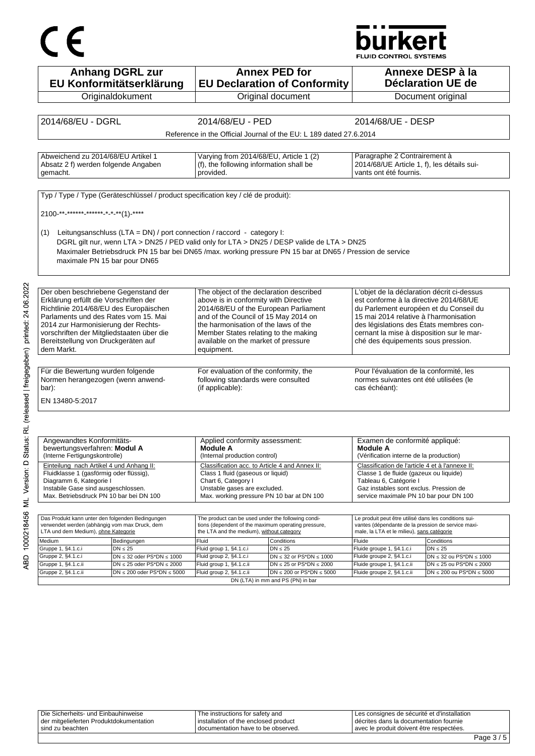# CE

## **burkert**

**FLUID CONTROL SYSTEMS** 

| <b>Anhang DGRL zur</b>                                                                                 |                                                                                                  | <b>Annex PED for</b>                                               |                                                                                                  | Annexe DESP à la                  |
|--------------------------------------------------------------------------------------------------------|--------------------------------------------------------------------------------------------------|--------------------------------------------------------------------|--------------------------------------------------------------------------------------------------|-----------------------------------|
| EU Konformitätserklärung                                                                               |                                                                                                  | <b>EU Declaration of Conformity</b>                                |                                                                                                  | <b>Déclaration UE de</b>          |
| Originaldokument                                                                                       |                                                                                                  | Original document                                                  |                                                                                                  | Document original                 |
|                                                                                                        |                                                                                                  |                                                                    |                                                                                                  |                                   |
| 2014/68/EU - DGRL                                                                                      | 2014/68/EU - PED                                                                                 |                                                                    | 2014/68/UE - DESP                                                                                |                                   |
|                                                                                                        |                                                                                                  | Reference in the Official Journal of the EU: L 189 dated 27.6.2014 |                                                                                                  |                                   |
|                                                                                                        |                                                                                                  |                                                                    |                                                                                                  |                                   |
| Abweichend zu 2014/68/EU Artikel 1                                                                     | Varying from 2014/68/EU, Article 1 (2)                                                           |                                                                    | Paragraphe 2 Contrairement à                                                                     |                                   |
| Absatz 2 f) werden folgende Angaben                                                                    | (f), the following information shall be                                                          |                                                                    | 2014/68/UE Article 1, f), les détails sui-                                                       |                                   |
| gemacht.                                                                                               | provided.                                                                                        |                                                                    | vants ont été fournis.                                                                           |                                   |
|                                                                                                        |                                                                                                  |                                                                    |                                                                                                  |                                   |
| Typ / Type / Type (Geräteschlüssel / product specification key / clé de produit):                      |                                                                                                  |                                                                    |                                                                                                  |                                   |
|                                                                                                        |                                                                                                  |                                                                    |                                                                                                  |                                   |
| 2100 ** ****** ****** * * ***(1) -****                                                                 |                                                                                                  |                                                                    |                                                                                                  |                                   |
|                                                                                                        |                                                                                                  |                                                                    |                                                                                                  |                                   |
| Leitungsanschluss (LTA = DN) / port connection / raccord - category I:<br>(1)                          |                                                                                                  |                                                                    |                                                                                                  |                                   |
| DGRL gilt nur, wenn LTA > DN25 / PED valid only for LTA > DN25 / DESP valide de LTA > DN25             |                                                                                                  |                                                                    |                                                                                                  |                                   |
| Maximaler Betriebsdruck PN 15 bar bei DN65/max. working pressure PN 15 bar at DN65/Pression de service |                                                                                                  |                                                                    |                                                                                                  |                                   |
| maximale PN 15 bar pour DN65                                                                           |                                                                                                  |                                                                    |                                                                                                  |                                   |
|                                                                                                        |                                                                                                  |                                                                    |                                                                                                  |                                   |
|                                                                                                        |                                                                                                  |                                                                    |                                                                                                  |                                   |
| Der oben beschriebene Gegenstand der                                                                   | The object of the declaration described                                                          |                                                                    | L'objet de la déclaration décrit ci-dessus                                                       |                                   |
| Erklärung erfüllt die Vorschriften der<br>Richtlinie 2014/68/EU des Europäischen                       | above is in conformity with Directive<br>2014/68/EU of the European Parliament                   |                                                                    | est conforme à la directive 2014/68/UE<br>du Parlement européen et du Conseil du                 |                                   |
| Parlaments und des Rates vom 15. Mai                                                                   | and of the Council of 15 May 2014 on                                                             |                                                                    | 15 mai 2014 relative à l'harmonisation                                                           |                                   |
| 2014 zur Harmonisierung der Rechts-                                                                    | the harmonisation of the laws of the                                                             |                                                                    | des législations des États membres con-                                                          |                                   |
| vorschriften der Mitgliedstaaten über die                                                              | Member States relating to the making                                                             |                                                                    | cernant la mise à disposition sur le mar-                                                        |                                   |
| Bereitstellung von Druckgeräten auf                                                                    | available on the market of pressure                                                              |                                                                    | ché des équipements sous pression.                                                               |                                   |
| dem Markt.                                                                                             | equipment.                                                                                       |                                                                    |                                                                                                  |                                   |
|                                                                                                        |                                                                                                  |                                                                    |                                                                                                  |                                   |
| Für die Bewertung wurden folgende                                                                      | For evaluation of the conformity, the                                                            |                                                                    | Pour l'évaluation de la conformité, les                                                          |                                   |
| Normen herangezogen (wenn anwend-                                                                      | following standards were consulted                                                               |                                                                    | normes suivantes ont été utilisées (le                                                           |                                   |
| bar):                                                                                                  | (if applicable):                                                                                 |                                                                    | cas échéant):                                                                                    |                                   |
| EN 13480-5:2017                                                                                        |                                                                                                  |                                                                    |                                                                                                  |                                   |
|                                                                                                        |                                                                                                  |                                                                    |                                                                                                  |                                   |
|                                                                                                        |                                                                                                  |                                                                    |                                                                                                  |                                   |
|                                                                                                        |                                                                                                  |                                                                    |                                                                                                  |                                   |
| Angewandtes Konformitäts-                                                                              | Applied conformity assessment:                                                                   |                                                                    | Examen de conformité appliqué:                                                                   |                                   |
| bewertungsverfahren: Modul A<br>(Interne Fertigungskontrolle)                                          | <b>Module A</b><br>(Internal production control)                                                 |                                                                    | <b>Module A</b><br>(Vérification interne de la production)                                       |                                   |
|                                                                                                        |                                                                                                  |                                                                    |                                                                                                  |                                   |
| Einteilung nach Artikel 4 und Anhang II:<br>Fluidklasse 1 (gasförmig oder flüssig),                    | Classification acc. to Article 4 and Annex II:<br>Class 1 fluid (gaseous or liquid)              |                                                                    | Classification de l'article 4 et à l'annexe II:<br>Classe 1 de fluide (gazeux ou liquide)        |                                   |
| Diagramm 6, Kategorie I                                                                                | Chart 6, Category I                                                                              |                                                                    | Tableau 6, Catégorie I                                                                           |                                   |
| Instabile Gase sind ausgeschlossen.                                                                    | Unstable gases are excluded.                                                                     |                                                                    | Gaz instables sont exclus. Pression de                                                           |                                   |
| Max. Betriebsdruck PN 10 bar bei DN 100                                                                | Max. working pressure PN 10 bar at DN 100                                                        |                                                                    | service maximale PN 10 bar pour DN 100                                                           |                                   |
|                                                                                                        |                                                                                                  |                                                                    |                                                                                                  |                                   |
| Das Produkt kann unter den folgenden Bedingungen                                                       | The product can be used under the following condi-                                               |                                                                    | Le produit peut être utilisé dans les conditions sui-                                            |                                   |
| verwendet werden (abhängig vom max Druck, dem<br>LTA und dem Medium), ohne Kategorie                   | tions (dependent of the maximum operating pressure,<br>the LTA and the medium), without category |                                                                    | vantes (dépendante de la pression de service maxi-<br>male, la LTA et le milieu), sans catégorie |                                   |
| Medium<br>Bedingungen                                                                                  | Fluid                                                                                            | Conditions                                                         | Fluide                                                                                           | Conditions                        |
| Gruppe 1, §4.1.c.i<br>$DN \leq 25$                                                                     | Fluid group 1, §4.1.c.i                                                                          | $DN \leq 25$                                                       | Fluide groupe 1, §4.1.c.i                                                                        | $DN \leq 25$                      |
| Gruppe 2, §4.1.c.i<br>$DN \leq 32$ oder PS*DN $\leq 1000$                                              | Fluid group 2, §4.1.c.i                                                                          | $DN \leq 32$ or PS*DN $\leq 1000$                                  | Fluide groupe 2, §4.1.c.i                                                                        | $DN \leq 32$ ou PS*DN $\leq 1000$ |
| Gruppe 1, §4.1.c.ii<br>$DN \le 25$ oder PS*DN $\le 2000$                                               | Fluid group 1, §4.1.c.ii                                                                         | DN $\leq$ 25 or PS*DN $\leq$ 2000                                  | Fluide groupe 1, §4.1.c.ii                                                                       | $DN \le 25$ ou PS*DN $\le 2000$   |
| Gruppe 2, §4.1.c.ii<br>$DN \le 200$ oder PS*DN $\le 5000$                                              | Fluid group 2, §4.1.c.ii                                                                         | $DN \le 200$ or PS*DN $\le 5000$                                   | Fluide groupe 2, §4.1.c.ii                                                                       | $DN \le 200$ ou PS*DN $\le 5000$  |

Die Sicherheits- und Einbauhinweise der mitgelieferten Produktdokumentation sind zu beachten The instructions for safety and installation of the enclosed product documentation have to be observed. Les consignes de sécurité et d'installation décrites dans la documentation fournie avec le produit doivent être respectées.

DN (LTA) in mm and PS (PN) in bar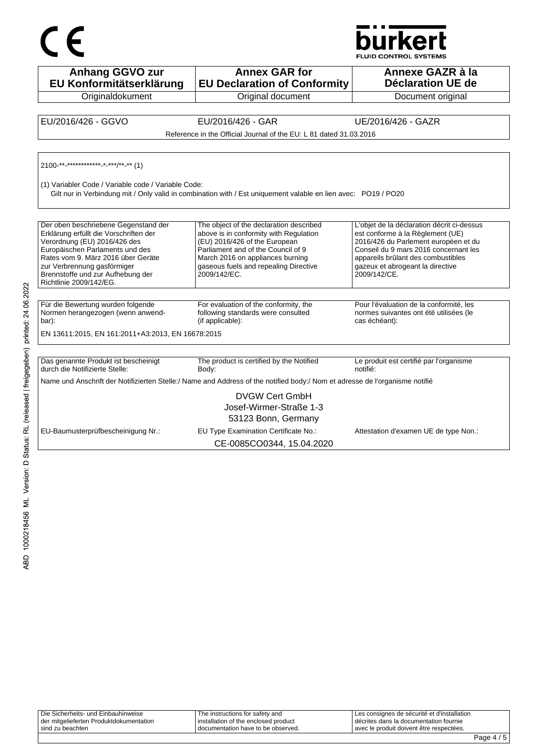



**Anhang GGVO zur EU Konformitätserklärung Originaldokument Annex GAR for EU Declaration of Conformity** Original document **Annexe GAZR à la Déclaration UE de**  Document original EU/2016/426 - GGVO EU/2016/426 - GAR UE/2016/426 - GAZR Reference in the Official Journal of the EU: L 81 dated 31.03.2016 2100-\*\*-\*\*\*\*\*\*\*\*\*\*\*\*-\*-\*\*\*/\*\*-\*\* (1) (1) Variabler Code / Variable code / Variable Code: Gilt nur in Verbindung mit / Only valid in combination with / Est uniquement valable en lien avec: PO19 / PO20 Der oben beschriebene Gegenstand der Erklärung erfüllt die Vorschriften der Verordnung (EU) 2016/426 des Europäischen Parlaments und des Rates vom 9. März 2016 über Geräte zur Verbrennung gasförmiger Brennstoffe und zur Aufhebung der Richtlinie 2009/142/EG. The object of the declaration described above is in conformity with Regulation (EU) 2016/426 of the European Parliament and of the Council of 9 March 2016 on appliances burning gaseous fuels and repealing Directive 2009/142/EC. L'objet de la déclaration décrit ci-dessus est conforme à la Règlement (UE) 2016/426 du Parlement européen et du Conseil du 9 mars 2016 concernant les appareils brûlant des combustibles gazeux et abrogeant la directive 2009/142/CE. Für die Bewertung wurden folgende Normen herangezogen (wenn anwendbar): For evaluation of the conformity, the following standards were consulted (if applicable): Pour l'évaluation de la conformité, les normes suivantes ont été utilisées (le cas échéant): EN 13611:2015, EN 161:2011+A3:2013, EN 16678:2015 Das genannte Produkt ist bescheinigt durch die Notifizierte Stelle: The product is certified by the Notified Body: Le produit est certifié par l'organisme notifié: Name und Anschrift der Notifizierten Stelle:/ Name and Address of the notified body:/ Nom et adresse de l'organisme notifié DVGW Cert GmbH Josef-Wirmer-Straße 1-3 53123 Bonn, Germany EU-Baumusterprüfbescheinigung Nr.: EU Type Examination Certificate No.: Attestation d'examen UE de type Non.: CE-0085CO0344, 15.04.2020

| l sind zu beachten                      | I documentation have to be observed. | avec le produit doivent être respectées.    |
|-----------------------------------------|--------------------------------------|---------------------------------------------|
| der mitgelieferten Produktdokumentation | installation of the enclosed product | décrites dans la documentation fournie      |
| Die Sicherheits- und Einbauhinweise     | The instructions for safety and      | Les consignes de sécurité et d'installation |